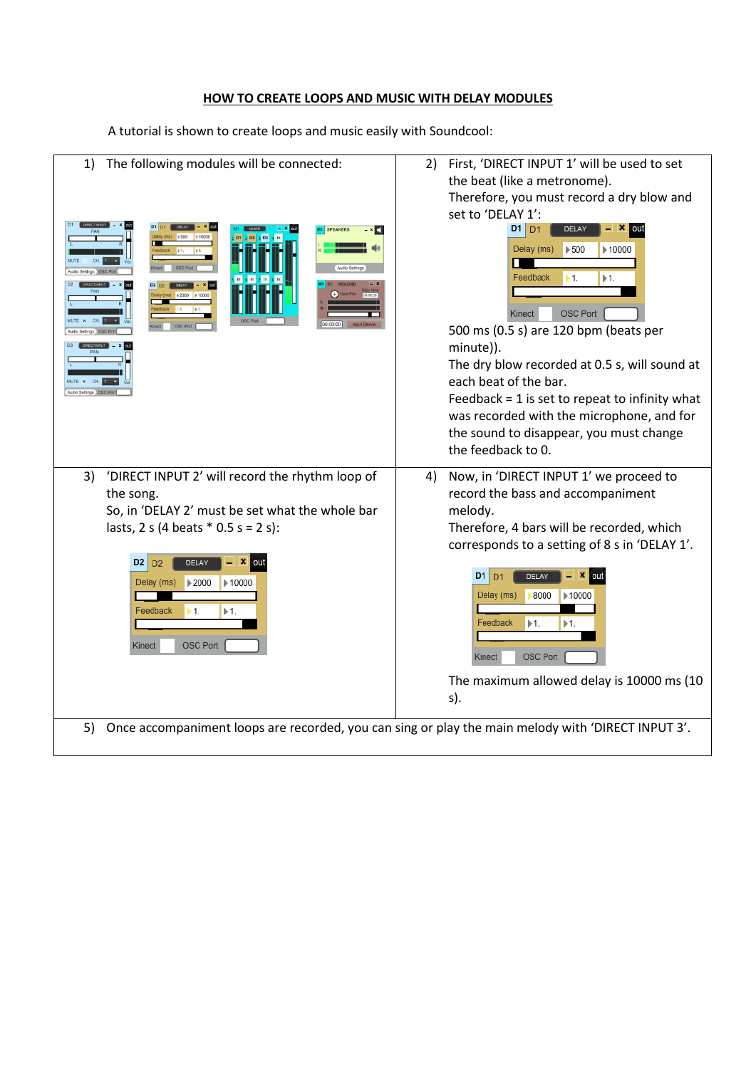## **HOW TO CREATE LOOPS AND MUSIC WITH DELAY MODULES**

A tutorial is shown to create loops and music easily with Soundcool:

| The following modules will be connected:<br>1)<br><b>SPEAKERS</b><br>- × C I<br>OSC <sub>P</sub><br>$\geq 2000$<br>10000<br>00:00:00                                                                                                                                                                                               | First, 'DIRECT INPUT 1' will be used to set<br>2)<br>the beat (like a metronome).<br>Therefore, you must record a dry blow and<br>set to 'DELAY 1':<br>D1<br>D <sub>1</sub><br>DELAY<br>Delay (ms)<br>$\blacktriangleright$ 500<br>▶ 10000<br>Feedback<br>$\models 1.$<br>▶1.<br>OSC Port<br>Kinect<br>500 ms (0.5 s) are 120 bpm (beats per<br>minute)).<br>The dry blow recorded at 0.5 s, will sound at<br>each beat of the bar.<br>Feedback $= 1$ is set to repeat to infinity what<br>was recorded with the microphone, and for<br>the sound to disappear, you must change<br>the feedback to 0. |
|------------------------------------------------------------------------------------------------------------------------------------------------------------------------------------------------------------------------------------------------------------------------------------------------------------------------------------|-------------------------------------------------------------------------------------------------------------------------------------------------------------------------------------------------------------------------------------------------------------------------------------------------------------------------------------------------------------------------------------------------------------------------------------------------------------------------------------------------------------------------------------------------------------------------------------------------------|
| 'DIRECT INPUT 2' will record the rhythm loop of<br>3)<br>the song.<br>So, in 'DELAY 2' must be set what the whole bar<br>lasts, 2 s (4 beats $*$ 0.5 s = 2 s):<br>D2<br>DELAY<br>out<br>D <sub>2</sub><br>▶2000<br>Delay (ms)<br>▶ 10000<br>Feedback<br>$\blacktriangleright$ 1.<br>$\blacktriangleright$ 1.<br>OSC Port<br>Kinect | Now, in 'DIRECT INPUT 1' we proceed to<br>4)<br>record the bass and accompaniment<br>melody.<br>Therefore, 4 bars will be recorded, which<br>corresponds to a setting of 8 s in 'DELAY 1'.<br>D1<br><b>DELAY</b><br><b>X</b> out<br>D <sub>1</sub><br>Delay (ms)<br>8000<br>▶ 10000<br>Feedback<br>$\models 1.$<br>$+1.$<br>OSC Port<br>Kinect<br>The maximum allowed delay is 10000 ms (10<br>s).                                                                                                                                                                                                    |
| Once accompaniment loops are recorded, you can sing or play the main melody with 'DIRECT INPUT 3'.<br>5)                                                                                                                                                                                                                           |                                                                                                                                                                                                                                                                                                                                                                                                                                                                                                                                                                                                       |